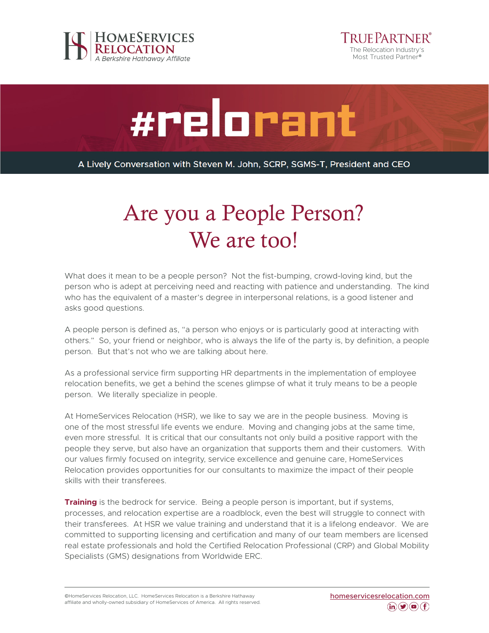



#relorant

A Lively Conversation with Steven M. John, SCRP, SGMS-T, President and CEO

## Are you a People Person? We are too!

What does it mean to be a people person? Not the fist-bumping, crowd-loving kind, but the person who is adept at perceiving need and reacting with patience and understanding. The kind who has the equivalent of a master's degree in interpersonal relations, is a good listener and asks good questions.

A people person is defined as, "a person who enjoys or is particularly good at interacting with others." So, your friend or neighbor, who is always the life of the party is, by definition, a people person. But that's not who we are talking about here.

As a professional service firm supporting HR departments in the implementation of employee relocation benefits, we get a behind the scenes glimpse of what it truly means to be a people person. We literally specialize in people.

At HomeServices Relocation (HSR), we like to say we are in the people business. Moving is one of the most stressful life events we endure. Moving and changing jobs at the same time, even more stressful. It is critical that our consultants not only build a positive rapport with the people they serve, but also have an organization that supports them and their customers. With our values firmly focused on integrity, service excellence and genuine care, HomeServices Relocation provides opportunities for our consultants to maximize the impact of their people skills with their transferees.

**Training** is the bedrock for service. Being a people person is important, but if systems, processes, and relocation expertise are a roadblock, even the best will struggle to connect with their transferees. At HSR we value training and understand that it is a lifelong endeavor. We are committed to supporting licensing and certification and many of our team members are licensed real estate professionals and hold the Certified Relocation Professional (CRP) and Global Mobility Specialists (GMS) designations from Worldwide ERC.